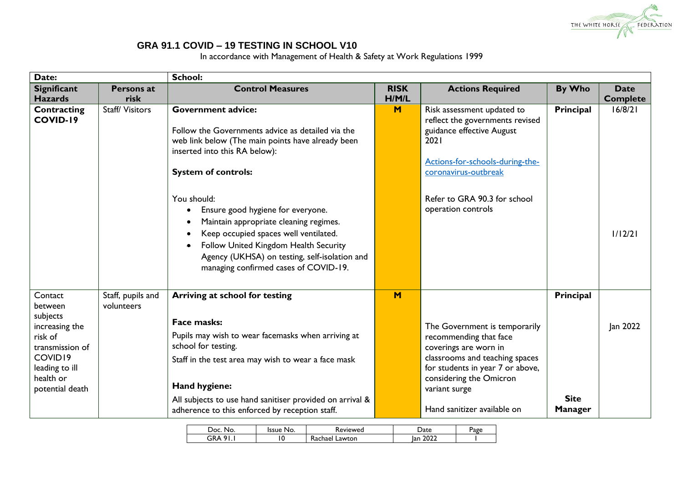

## **GRA 91.1 COVID – 19 TESTING IN SCHOOL V10**

In accordance with Management of Health & Safety at Work Regulations 1999

| Date:               |                   | <b>School:</b>                                                                                             |             |                                  |                |                 |
|---------------------|-------------------|------------------------------------------------------------------------------------------------------------|-------------|----------------------------------|----------------|-----------------|
| <b>Significant</b>  | <b>Persons at</b> | <b>Control Measures</b>                                                                                    | <b>RISK</b> | <b>Actions Required</b>          | By Who         | <b>Date</b>     |
| <b>Hazards</b>      | risk              |                                                                                                            | H/M/L       |                                  |                | <b>Complete</b> |
| Contracting         | Staff/Visitors    | <b>Government advice:</b>                                                                                  | M           | Risk assessment updated to       | Principal      | 16/8/21         |
| COVID-19            |                   |                                                                                                            |             | reflect the governments revised  |                |                 |
|                     |                   | Follow the Governments advice as detailed via the                                                          |             | guidance effective August        |                |                 |
|                     |                   | web link below (The main points have already been                                                          |             | 2021                             |                |                 |
|                     |                   | inserted into this RA below):                                                                              |             | Actions-for-schools-during-the-  |                |                 |
|                     |                   | <b>System of controls:</b>                                                                                 |             | coronavirus-outbreak             |                |                 |
|                     |                   |                                                                                                            |             |                                  |                |                 |
|                     |                   | You should:                                                                                                |             | Refer to GRA 90.3 for school     |                |                 |
|                     |                   | Ensure good hygiene for everyone.                                                                          |             | operation controls               |                |                 |
|                     |                   | Maintain appropriate cleaning regimes.                                                                     |             |                                  |                |                 |
|                     |                   | Keep occupied spaces well ventilated.                                                                      |             |                                  |                | 1/12/21         |
|                     |                   | Follow United Kingdom Health Security                                                                      |             |                                  |                |                 |
|                     |                   |                                                                                                            |             |                                  |                |                 |
|                     |                   | Agency (UKHSA) on testing, self-isolation and<br>managing confirmed cases of COVID-19.                     |             |                                  |                |                 |
|                     |                   |                                                                                                            |             |                                  |                |                 |
|                     |                   |                                                                                                            |             |                                  |                |                 |
| Contact             | Staff, pupils and | Arriving at school for testing                                                                             | M           |                                  | Principal      |                 |
| between<br>subjects | volunteers        |                                                                                                            |             |                                  |                |                 |
| increasing the      |                   | Face masks:                                                                                                |             | The Government is temporarily    |                | Jan 2022        |
| risk of             |                   | Pupils may wish to wear facemasks when arriving at                                                         |             | recommending that face           |                |                 |
| transmission of     |                   | school for testing.                                                                                        |             | coverings are worn in            |                |                 |
| COVID19             |                   | Staff in the test area may wish to wear a face mask                                                        |             | classrooms and teaching spaces   |                |                 |
| leading to ill      |                   |                                                                                                            |             | for students in year 7 or above, |                |                 |
| health or           |                   | Hand hygiene:                                                                                              |             | considering the Omicron          |                |                 |
| potential death     |                   |                                                                                                            |             | variant surge                    | <b>Site</b>    |                 |
|                     |                   | All subjects to use hand sanitiser provided on arrival &<br>adherence to this enforced by reception staff. |             | Hand sanitizer available on      | <b>Manager</b> |                 |
|                     |                   |                                                                                                            |             |                                  |                |                 |

| Doc<br>No. | lssue<br>NO. | keviewed          | <sup>2</sup> ate | Page |
|------------|--------------|-------------------|------------------|------|
| ິດເ<br>ЗRА | ١O           | Lawton<br>⊀achael | 2022<br>lan      |      |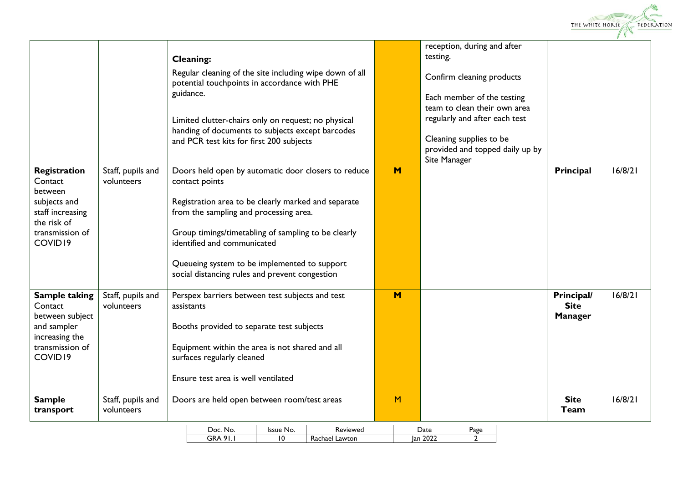

| COVID19<br><b>Sample</b>                                                                                            | Staff, pupils and<br>volunteers | surfaces regularly cleaned<br>Ensure test area is well ventilated<br>Doors are held open between room/test areas                                                                                                                                                                                                                                               | M |                                                                                                                                                                                                                                                   | <b>Site</b><br>Team                         | 16/8/21 |
|---------------------------------------------------------------------------------------------------------------------|---------------------------------|----------------------------------------------------------------------------------------------------------------------------------------------------------------------------------------------------------------------------------------------------------------------------------------------------------------------------------------------------------------|---|---------------------------------------------------------------------------------------------------------------------------------------------------------------------------------------------------------------------------------------------------|---------------------------------------------|---------|
| <b>Sample taking</b><br>Contact<br>between subject<br>and sampler<br>increasing the<br>transmission of              | Staff, pupils and<br>volunteers | Perspex barriers between test subjects and test<br>assistants<br>Booths provided to separate test subjects<br>Equipment within the area is not shared and all                                                                                                                                                                                                  | M |                                                                                                                                                                                                                                                   | Principal/<br><b>Site</b><br><b>Manager</b> | 16/8/21 |
| Registration<br>Contact<br>between<br>subjects and<br>staff increasing<br>the risk of<br>transmission of<br>COVID19 | Staff, pupils and<br>volunteers | Doors held open by automatic door closers to reduce<br>contact points<br>Registration area to be clearly marked and separate<br>from the sampling and processing area.<br>Group timings/timetabling of sampling to be clearly<br>identified and communicated<br>Queueing system to be implemented to support<br>social distancing rules and prevent congestion |   |                                                                                                                                                                                                                                                   | Principal                                   |         |
|                                                                                                                     |                                 | <b>Cleaning:</b><br>Regular cleaning of the site including wipe down of all<br>potential touchpoints in accordance with PHE<br>guidance.<br>Limited clutter-chairs only on request; no physical<br>handing of documents to subjects except barcodes<br>and PCR test kits for first 200 subjects                                                                | M | reception, during and after<br>testing.<br>Confirm cleaning products<br>Each member of the testing<br>team to clean their own area<br>regularly and after each test<br>Cleaning supplies to be<br>provided and topped daily up by<br>Site Manager |                                             | 16/8/21 |

| חמנ<br>No.     | Issue I<br>INO. | eviewed)               | )ate        | Jage |
|----------------|-----------------|------------------------|-------------|------|
| ÷R<br>o<br>^ ^ |                 | -<br>Lawton<br>Kachael | 2022<br>Ian |      |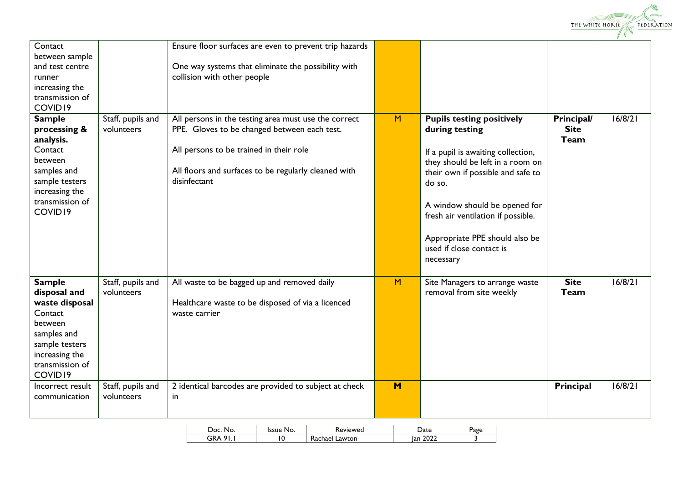

| Contact<br>between sample<br>and test centre<br>runner<br>increasing the<br>transmission of<br>COVID19                                                 |                                 | Ensure floor surfaces are even to prevent trip hazards<br>One way systems that eliminate the possibility with<br>collision with other people                                                                            |   |                                                                                                                                                                                                                                                                                                                               |                                   |         |
|--------------------------------------------------------------------------------------------------------------------------------------------------------|---------------------------------|-------------------------------------------------------------------------------------------------------------------------------------------------------------------------------------------------------------------------|---|-------------------------------------------------------------------------------------------------------------------------------------------------------------------------------------------------------------------------------------------------------------------------------------------------------------------------------|-----------------------------------|---------|
| <b>Sample</b><br>processing &<br>analysis.<br>Contact<br>between<br>samples and<br>sample testers<br>increasing the<br>transmission of<br>COVID19      | Staff, pupils and<br>volunteers | All persons in the testing area must use the correct<br>PPE. Gloves to be changed between each test.<br>All persons to be trained in their role<br>All floors and surfaces to be regularly cleaned with<br>disinfectant | M | <b>Pupils testing positively</b><br>during testing<br>If a pupil is awaiting collection,<br>they should be left in a room on<br>their own if possible and safe to<br>do so.<br>A window should be opened for<br>fresh air ventilation if possible.<br>Appropriate PPE should also be<br>used if close contact is<br>necessary | Principal/<br><b>Site</b><br>Team | 16/8/21 |
| <b>Sample</b><br>disposal and<br>waste disposal<br>Contact<br>between<br>samples and<br>sample testers<br>increasing the<br>transmission of<br>COVID19 | Staff, pupils and<br>volunteers | All waste to be bagged up and removed daily<br>Healthcare waste to be disposed of via a licenced<br>waste carrier                                                                                                       | M | Site Managers to arrange waste<br>removal from site weekly                                                                                                                                                                                                                                                                    | <b>Site</b><br>Team               | 16/8/21 |
| Incorrect result<br>communication                                                                                                                      | Staff, pupils and<br>volunteers | 2 identical barcodes are provided to subject at check<br>in                                                                                                                                                             | M |                                                                                                                                                                                                                                                                                                                               | Principal                         | 16/8/21 |

| No.<br>0с | Issue<br>No. | Keviewed          | Date        | Page |
|-----------|--------------|-------------------|-------------|------|
| GRA<br>01 |              | Lawton<br>Kachael | 2022<br>Ian |      |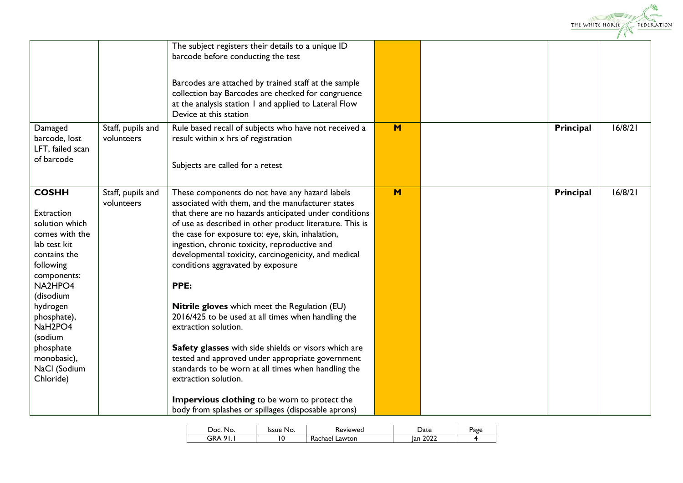

|                                                                                                                                                                                                                                                                          |                                 | The subject registers their details to a unique ID<br>barcode before conducting the test<br>Barcodes are attached by trained staff at the sample<br>collection bay Barcodes are checked for congruence<br>at the analysis station I and applied to Lateral Flow<br>Device at this station                                                                                                                                                                                                                                                                                                                                                                                                                                                                                                                      |   |           |         |
|--------------------------------------------------------------------------------------------------------------------------------------------------------------------------------------------------------------------------------------------------------------------------|---------------------------------|----------------------------------------------------------------------------------------------------------------------------------------------------------------------------------------------------------------------------------------------------------------------------------------------------------------------------------------------------------------------------------------------------------------------------------------------------------------------------------------------------------------------------------------------------------------------------------------------------------------------------------------------------------------------------------------------------------------------------------------------------------------------------------------------------------------|---|-----------|---------|
| Damaged<br>barcode, lost<br>LFT, failed scan<br>of barcode                                                                                                                                                                                                               | Staff, pupils and<br>volunteers | Rule based recall of subjects who have not received a<br>result within x hrs of registration<br>Subjects are called for a retest                                                                                                                                                                                                                                                                                                                                                                                                                                                                                                                                                                                                                                                                               | M | Principal | 16/8/21 |
| <b>COSHH</b><br>Extraction<br>solution which<br>comes with the<br>lab test kit<br>contains the<br>following<br>components:<br>NA2HPO4<br>(disodium<br>hydrogen<br>phosphate),<br>NaH <sub>2PO4</sub><br>(sodium<br>phosphate<br>monobasic),<br>NaCl (Sodium<br>Chloride) | Staff, pupils and<br>volunteers | These components do not have any hazard labels<br>associated with them, and the manufacturer states<br>that there are no hazards anticipated under conditions<br>of use as described in other product literature. This is<br>the case for exposure to: eye, skin, inhalation,<br>ingestion, chronic toxicity, reproductive and<br>developmental toxicity, carcinogenicity, and medical<br>conditions aggravated by exposure<br>PPE:<br>Nitrile gloves which meet the Regulation (EU)<br>2016/425 to be used at all times when handling the<br>extraction solution.<br>Safety glasses with side shields or visors which are<br>tested and approved under appropriate government<br>standards to be worn at all times when handling the<br>extraction solution.<br>Impervious clothing to be worn to protect the | M | Principal | 16/8/21 |
|                                                                                                                                                                                                                                                                          |                                 | body from splashes or spillages (disposable aprons)                                                                                                                                                                                                                                                                                                                                                                                                                                                                                                                                                                                                                                                                                                                                                            |   |           |         |

| ാററ<br>No.                  | Issue No. | <b>Reviewed</b>   | <b>Date</b> | Page |
|-----------------------------|-----------|-------------------|-------------|------|
| $\Omega$<br>GR.<br>$\Delta$ | £<br>. v  | Lawton<br>⊀achael | 2022<br>Ian |      |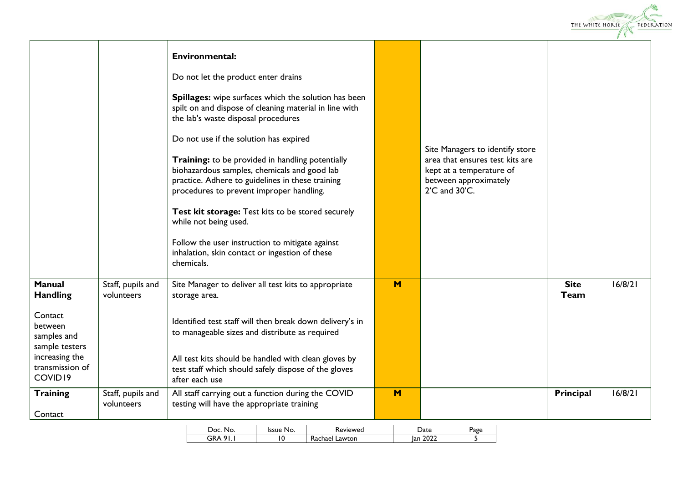

|                                                                                                                                         |                                 | <b>Environmental:</b><br>Do not let the product enter drains<br>Spillages: wipe surfaces which the solution has been<br>spilt on and dispose of cleaning material in line with<br>the lab's waste disposal procedures<br>Do not use if the solution has expired<br>Training: to be provided in handling potentially<br>biohazardous samples, chemicals and good lab<br>practice. Adhere to guidelines in these training<br>procedures to prevent improper handling.<br>Test kit storage: Test kits to be stored securely<br>while not being used.<br>Follow the user instruction to mitigate against<br>inhalation, skin contact or ingestion of these<br>chemicals. |   | Site Managers to identify store<br>area that ensures test kits are<br>kept at a temperature of<br>between approximately<br>2'C and 30'C. |                     |         |
|-----------------------------------------------------------------------------------------------------------------------------------------|---------------------------------|----------------------------------------------------------------------------------------------------------------------------------------------------------------------------------------------------------------------------------------------------------------------------------------------------------------------------------------------------------------------------------------------------------------------------------------------------------------------------------------------------------------------------------------------------------------------------------------------------------------------------------------------------------------------|---|------------------------------------------------------------------------------------------------------------------------------------------|---------------------|---------|
| <b>Manual</b><br><b>Handling</b><br>Contact<br>between<br>samples and<br>sample testers<br>increasing the<br>transmission of<br>COVID19 | Staff, pupils and<br>volunteers | Site Manager to deliver all test kits to appropriate<br>storage area.<br>Identified test staff will then break down delivery's in<br>to manageable sizes and distribute as required<br>All test kits should be handled with clean gloves by<br>test staff which should safely dispose of the gloves                                                                                                                                                                                                                                                                                                                                                                  | M |                                                                                                                                          | <b>Site</b><br>Team | 16/8/21 |
| <b>Training</b><br>Contact                                                                                                              | Staff, pupils and<br>volunteers | after each use<br>All staff carrying out a function during the COVID<br>testing will have the appropriate training                                                                                                                                                                                                                                                                                                                                                                                                                                                                                                                                                   | M |                                                                                                                                          | Principal           | 16/8/21 |

| JOC.<br>No.     | 'ssue<br>'NO. | <b>Reviewed</b>          | Date        | Page |
|-----------------|---------------|--------------------------|-------------|------|
| GRA<br>$\Omega$ | v             | -<br>Lawton<br>Rachael . | 2022<br>Ian |      |